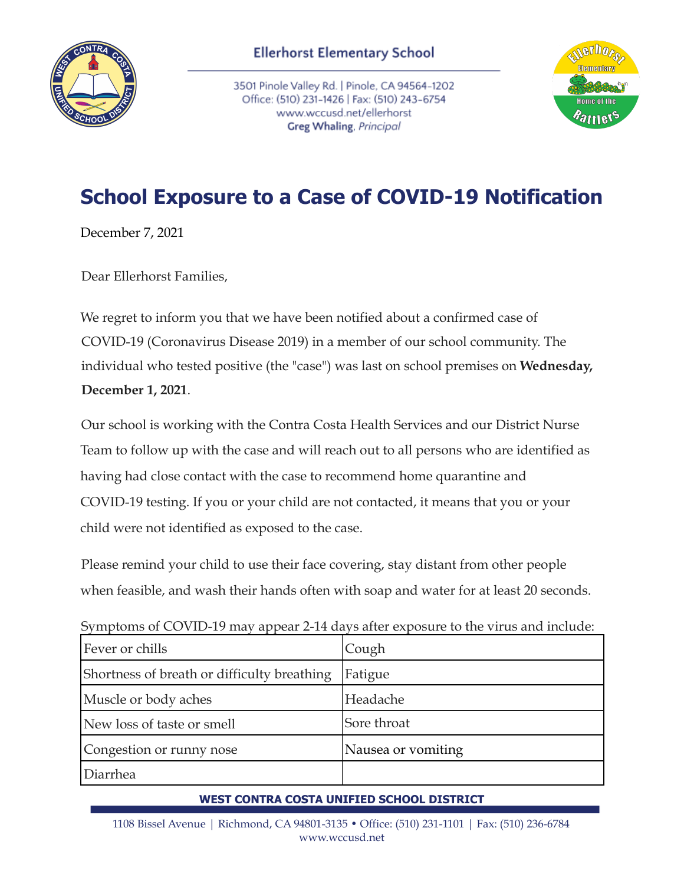

3501 Pinole Valley Rd. | Pinole, CA 94564-1202 Office: (510) 231-1426 | Fax: (510) 243-6754 www.wccusd.net/ellerhorst Greg Whaling, Principal



## **School Exposure to a Case of COVID-19 Notification**

December 7, 2021

Dear Ellerhorst Families,

We regret to inform you that we have been notified about a confirmed case of COVID-19 (Coronavirus Disease 2019) in a member of our school community. The individual who tested positive (the "case") was last on school premises on **Wednesday, December 1, 2021**.

Our school is working with the Contra Costa Health Services and our District Nurse Team to follow up with the case and will reach out to all persons who are identified as having had close contact with the case to recommend home quarantine and COVID-19 testing. If you or your child are not contacted, it means that you or your child were not identified as exposed to the case.

Please remind your child to use their face covering, stay distant from other people when feasible, and wash their hands often with soap and water for at least 20 seconds.

Symptoms of COVID-19 may appear 2-14 days after exposure to the virus and include:

| Fever or chills                             | Cough              |
|---------------------------------------------|--------------------|
| Shortness of breath or difficulty breathing | Fatigue            |
| Muscle or body aches                        | Headache           |
| New loss of taste or smell                  | Sore throat        |
| Congestion or runny nose                    | Nausea or vomiting |
| Diarrhea                                    |                    |

## **WEST CONTRA COSTA UNIFIED SCHOOL DISTRICT**

1108 Bissel Avenue | Richmond, CA 94801-3135 • Office: (510) 231-1101 | Fax: (510) 236-6784 www.wccusd.net